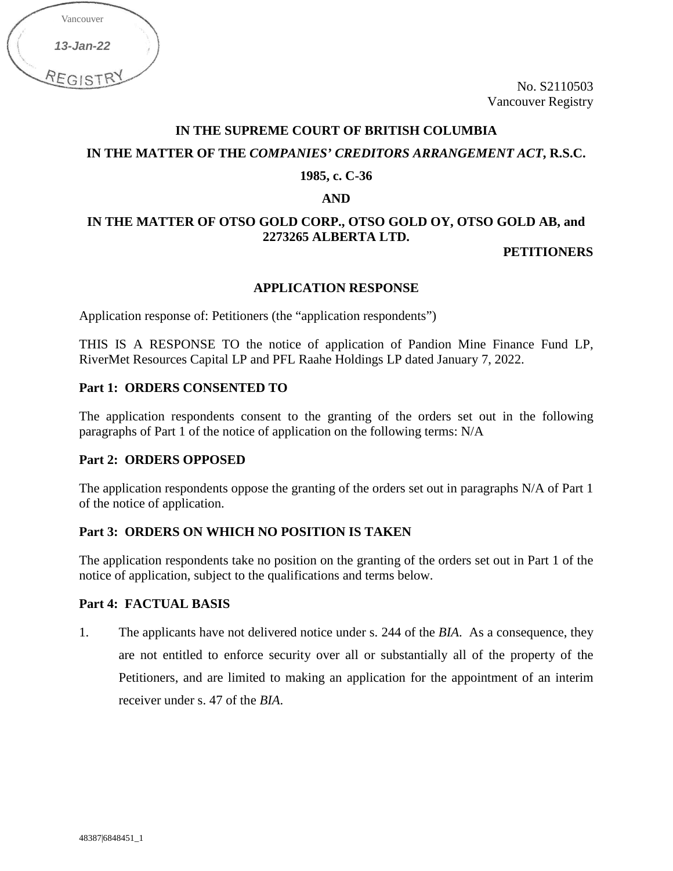| Vancouver |  |
|-----------|--|
| 13-Jan-22 |  |
| REGIST    |  |

No. S2110503 Vancouver Registry

# **IN THE SUPREME COURT OF BRITISH COLUMBIA IN THE MATTER OF THE** *COMPANIES' CREDITORS ARRANGEMENT ACT***, R.S.C.**

### **1985, c. C-36**

#### **AND**

# **IN THE MATTER OF OTSO GOLD CORP., OTSO GOLD OY, OTSO GOLD AB, and 2273265 ALBERTA LTD.**

## **PETITIONERS**

## **APPLICATION RESPONSE**

Application response of: Petitioners (the "application respondents")

THIS IS A RESPONSE TO the notice of application of Pandion Mine Finance Fund LP, RiverMet Resources Capital LP and PFL Raahe Holdings LP dated January 7, 2022.

## **Part 1: ORDERS CONSENTED TO**

The application respondents consent to the granting of the orders set out in the following paragraphs of Part 1 of the notice of application on the following terms: N/A

## **Part 2: ORDERS OPPOSED**

The application respondents oppose the granting of the orders set out in paragraphs N/A of Part 1 of the notice of application.

## **Part 3: ORDERS ON WHICH NO POSITION IS TAKEN**

The application respondents take no position on the granting of the orders set out in Part 1 of the notice of application, subject to the qualifications and terms below.

### **Part 4: FACTUAL BASIS**

1. The applicants have not delivered notice under s. 244 of the *BIA*. As a consequence, they are not entitled to enforce security over all or substantially all of the property of the Petitioners, and are limited to making an application for the appointment of an interim receiver under s. 47 of the *BIA*.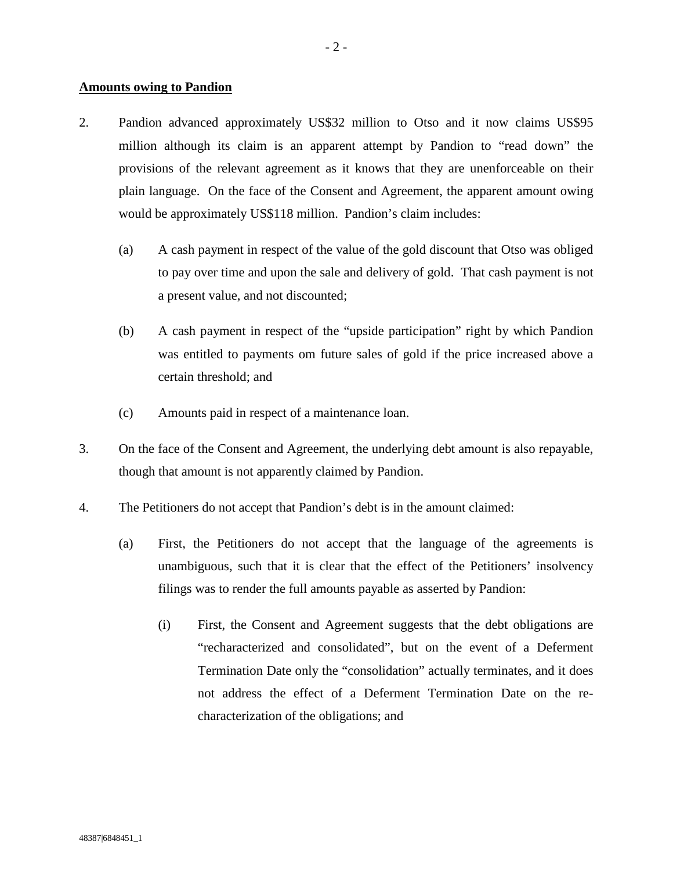#### **Amounts owing to Pandion**

- 2. Pandion advanced approximately US\$32 million to Otso and it now claims US\$95 million although its claim is an apparent attempt by Pandion to "read down" the provisions of the relevant agreement as it knows that they are unenforceable on their plain language. On the face of the Consent and Agreement, the apparent amount owing would be approximately US\$118 million. Pandion's claim includes:
	- (a) A cash payment in respect of the value of the gold discount that Otso was obliged to pay over time and upon the sale and delivery of gold. That cash payment is not a present value, and not discounted;
	- (b) A cash payment in respect of the "upside participation" right by which Pandion was entitled to payments om future sales of gold if the price increased above a certain threshold; and
	- (c) Amounts paid in respect of a maintenance loan.
- 3. On the face of the Consent and Agreement, the underlying debt amount is also repayable, though that amount is not apparently claimed by Pandion.
- 4. The Petitioners do not accept that Pandion's debt is in the amount claimed:
	- (a) First, the Petitioners do not accept that the language of the agreements is unambiguous, such that it is clear that the effect of the Petitioners' insolvency filings was to render the full amounts payable as asserted by Pandion:
		- (i) First, the Consent and Agreement suggests that the debt obligations are "recharacterized and consolidated", but on the event of a Deferment Termination Date only the "consolidation" actually terminates, and it does not address the effect of a Deferment Termination Date on the recharacterization of the obligations; and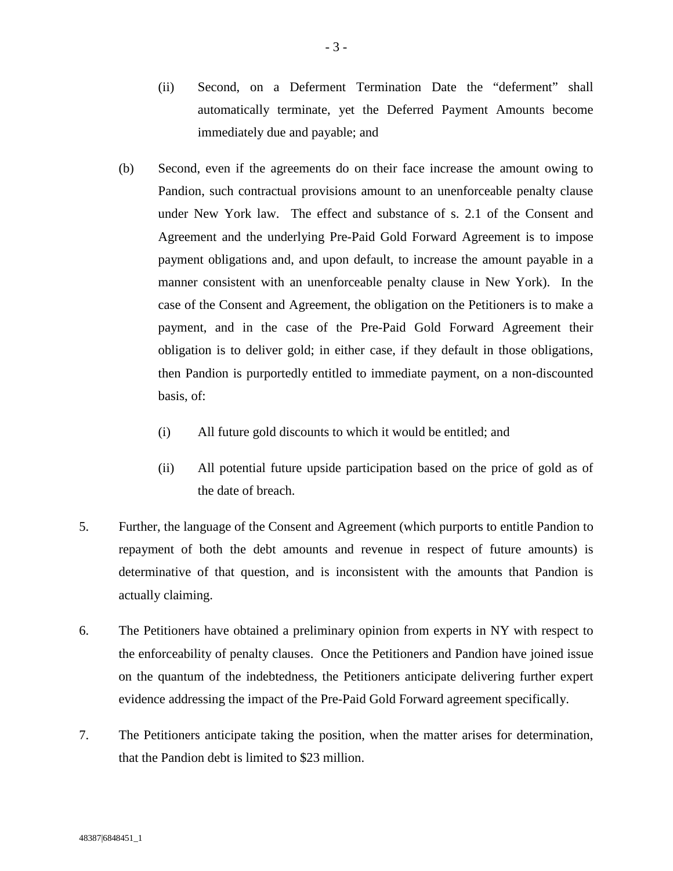- (ii) Second, on a Deferment Termination Date the "deferment" shall automatically terminate, yet the Deferred Payment Amounts become immediately due and payable; and
- (b) Second, even if the agreements do on their face increase the amount owing to Pandion, such contractual provisions amount to an unenforceable penalty clause under New York law. The effect and substance of s. 2.1 of the Consent and Agreement and the underlying Pre-Paid Gold Forward Agreement is to impose payment obligations and, and upon default, to increase the amount payable in a manner consistent with an unenforceable penalty clause in New York). In the case of the Consent and Agreement, the obligation on the Petitioners is to make a payment, and in the case of the Pre-Paid Gold Forward Agreement their obligation is to deliver gold; in either case, if they default in those obligations, then Pandion is purportedly entitled to immediate payment, on a non-discounted basis, of:
	- (i) All future gold discounts to which it would be entitled; and
	- (ii) All potential future upside participation based on the price of gold as of the date of breach.
- 5. Further, the language of the Consent and Agreement (which purports to entitle Pandion to repayment of both the debt amounts and revenue in respect of future amounts) is determinative of that question, and is inconsistent with the amounts that Pandion is actually claiming.
- 6. The Petitioners have obtained a preliminary opinion from experts in NY with respect to the enforceability of penalty clauses. Once the Petitioners and Pandion have joined issue on the quantum of the indebtedness, the Petitioners anticipate delivering further expert evidence addressing the impact of the Pre-Paid Gold Forward agreement specifically.
- 7. The Petitioners anticipate taking the position, when the matter arises for determination, that the Pandion debt is limited to \$23 million.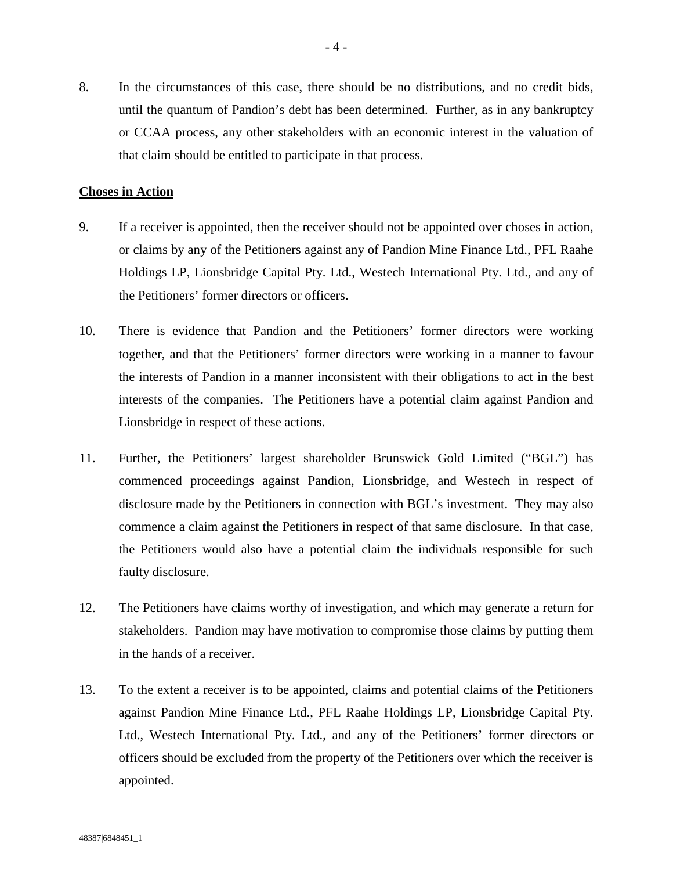8. In the circumstances of this case, there should be no distributions, and no credit bids, until the quantum of Pandion's debt has been determined. Further, as in any bankruptcy or CCAA process, any other stakeholders with an economic interest in the valuation of that claim should be entitled to participate in that process.

#### **Choses in Action**

- 9. If a receiver is appointed, then the receiver should not be appointed over choses in action, or claims by any of the Petitioners against any of Pandion Mine Finance Ltd., PFL Raahe Holdings LP, Lionsbridge Capital Pty. Ltd., Westech International Pty. Ltd., and any of the Petitioners' former directors or officers.
- 10. There is evidence that Pandion and the Petitioners' former directors were working together, and that the Petitioners' former directors were working in a manner to favour the interests of Pandion in a manner inconsistent with their obligations to act in the best interests of the companies. The Petitioners have a potential claim against Pandion and Lionsbridge in respect of these actions.
- 11. Further, the Petitioners' largest shareholder Brunswick Gold Limited ("BGL") has commenced proceedings against Pandion, Lionsbridge, and Westech in respect of disclosure made by the Petitioners in connection with BGL's investment. They may also commence a claim against the Petitioners in respect of that same disclosure. In that case, the Petitioners would also have a potential claim the individuals responsible for such faulty disclosure.
- 12. The Petitioners have claims worthy of investigation, and which may generate a return for stakeholders. Pandion may have motivation to compromise those claims by putting them in the hands of a receiver.
- 13. To the extent a receiver is to be appointed, claims and potential claims of the Petitioners against Pandion Mine Finance Ltd., PFL Raahe Holdings LP, Lionsbridge Capital Pty. Ltd., Westech International Pty. Ltd., and any of the Petitioners' former directors or officers should be excluded from the property of the Petitioners over which the receiver is appointed.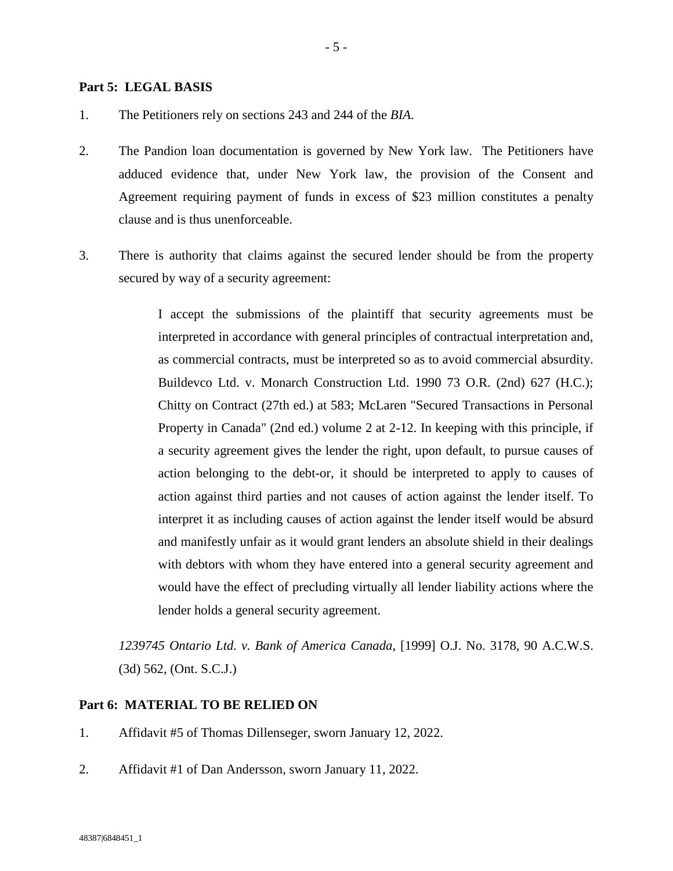#### **Part 5: LEGAL BASIS**

- 1. The Petitioners rely on sections 243 and 244 of the *BIA*.
- 2. The Pandion loan documentation is governed by New York law. The Petitioners have adduced evidence that, under New York law, the provision of the Consent and Agreement requiring payment of funds in excess of \$23 million constitutes a penalty clause and is thus unenforceable.
- 3. There is authority that claims against the secured lender should be from the property secured by way of a security agreement:

I accept the submissions of the plaintiff that security agreements must be interpreted in accordance with general principles of contractual interpretation and, as commercial contracts, must be interpreted so as to avoid commercial absurdity. Buildevco Ltd. v. Monarch Construction Ltd. 1990 73 O.R. (2nd) 627 (H.C.); Chitty on Contract (27th ed.) at 583; McLaren "Secured Transactions in Personal Property in Canada" (2nd ed.) volume 2 at 2-12. In keeping with this principle, if a security agreement gives the lender the right, upon default, to pursue causes of action belonging to the debt-or, it should be interpreted to apply to causes of action against third parties and not causes of action against the lender itself. To interpret it as including causes of action against the lender itself would be absurd and manifestly unfair as it would grant lenders an absolute shield in their dealings with debtors with whom they have entered into a general security agreement and would have the effect of precluding virtually all lender liability actions where the lender holds a general security agreement.

*1239745 Ontario Ltd. v. Bank of America Canada*, [1999] O.J. No. 3178, 90 A.C.W.S. (3d) 562, (Ont. S.C.J.)

### **Part 6: MATERIAL TO BE RELIED ON**

- 1. Affidavit #5 of Thomas Dillenseger, sworn January 12, 2022.
- 2. Affidavit #1 of Dan Andersson, sworn January 11, 2022.